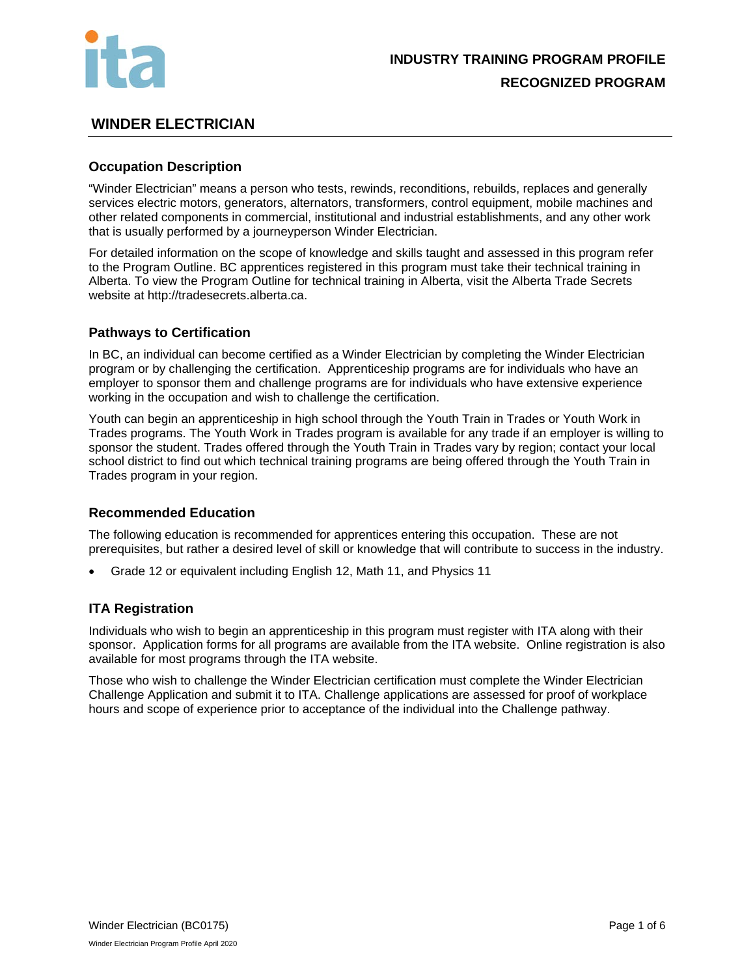

# **WINDER ELECTRICIAN**

## **Occupation Description**

"Winder Electrician" means a person who tests, rewinds, reconditions, rebuilds, replaces and generally services electric motors, generators, alternators, transformers, control equipment, mobile machines and other related components in commercial, institutional and industrial establishments, and any other work that is usually performed by a journeyperson Winder Electrician.

For detailed information on the scope of knowledge and skills taught and assessed in this program refer to the Program Outline. BC apprentices registered in this program must take their technical training in Alberta. To view the Program Outline for technical training in Alberta, visit the Alberta Trade Secrets website at http://tradesecrets.alberta.ca.

### **Pathways to Certification**

In BC, an individual can become certified as a Winder Electrician by completing the Winder Electrician program or by challenging the certification. Apprenticeship programs are for individuals who have an employer to sponsor them and challenge programs are for individuals who have extensive experience working in the occupation and wish to challenge the certification.

Youth can begin an apprenticeship in high school through the Youth Train in Trades or Youth Work in Trades programs. The Youth Work in Trades program is available for any trade if an employer is willing to sponsor the student. Trades offered through the Youth Train in Trades vary by region; contact your local school district to find out which technical training programs are being offered through the Youth Train in Trades program in your region.

### **Recommended Education**

The following education is recommended for apprentices entering this occupation. These are not prerequisites, but rather a desired level of skill or knowledge that will contribute to success in the industry.

• Grade 12 or equivalent including English 12, Math 11, and Physics 11

### **ITA Registration**

Individuals who wish to begin an apprenticeship in this program must register with ITA along with their sponsor. Application forms for all programs are available from the ITA website. Online registration is also available for most programs through the ITA website.

Those who wish to challenge the Winder Electrician certification must complete the Winder Electrician Challenge Application and submit it to ITA. Challenge applications are assessed for proof of workplace hours and scope of experience prior to acceptance of the individual into the Challenge pathway.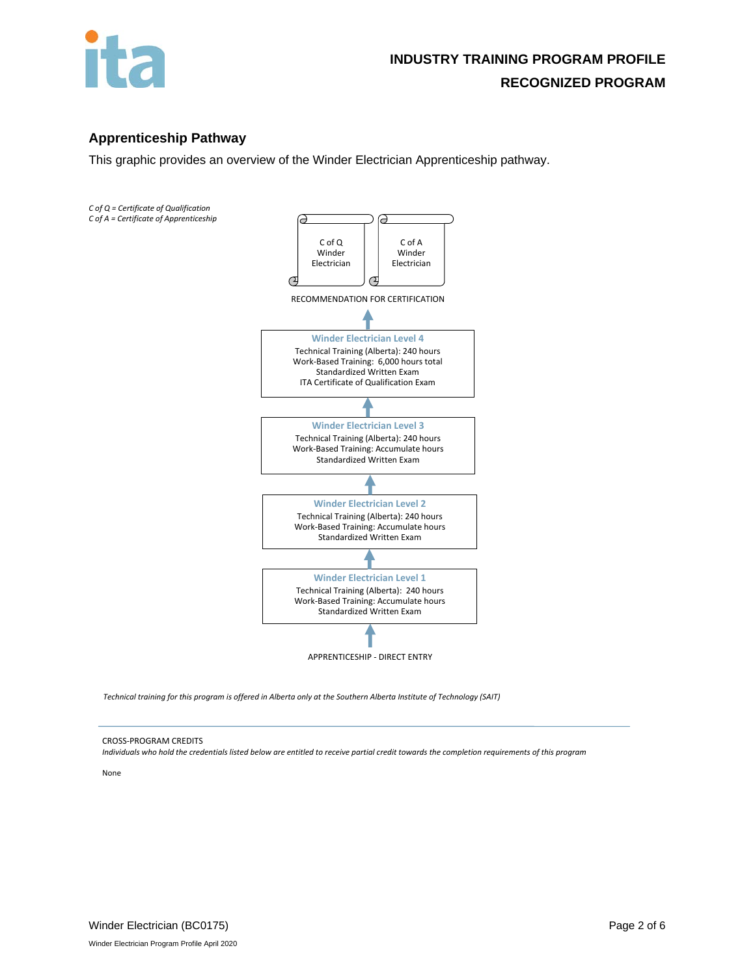

# **Apprenticeship Pathway**

This graphic provides an overview of the Winder Electrician Apprenticeship pathway.



*Technical training for this program is offered in Alberta only at the Southern Alberta Institute of Technology (SAIT)* 

#### CROSS-PROGRAM CREDITS

*Individuals who hold the credentials listed below are entitled to receive partial credit towards the completion requirements of this program*

None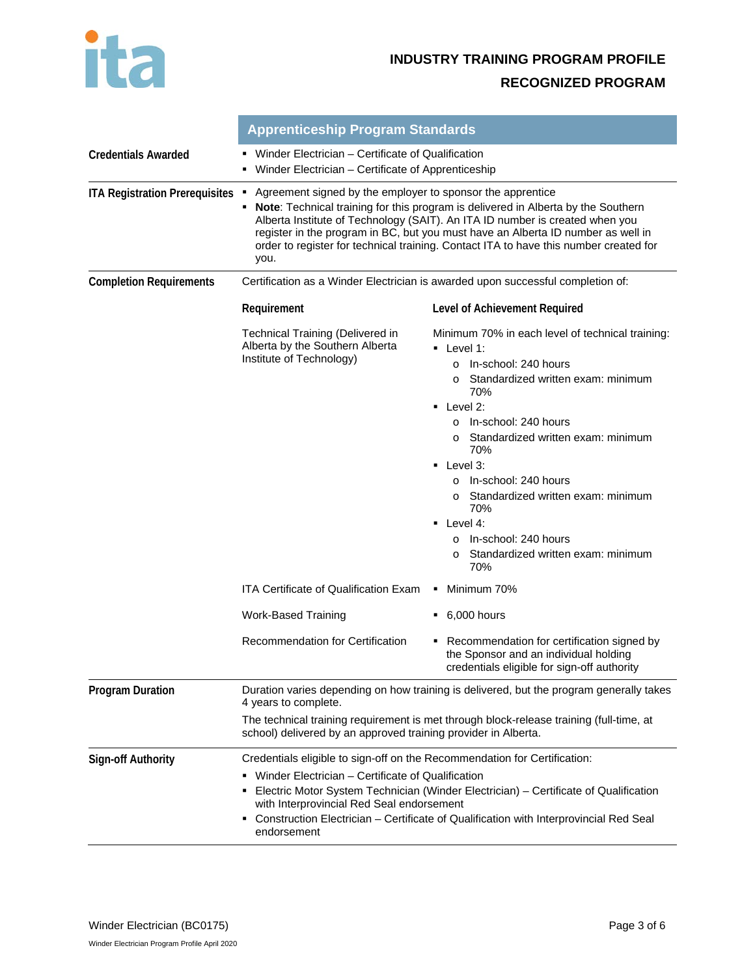

|                                       | <b>Apprenticeship Program Standards</b>                                                                                                                                                                                                                                                                                                                                                                                        |                                                                                                                                                                                                                                                                                                                                                                                                                                                                                                                                               |  |  |
|---------------------------------------|--------------------------------------------------------------------------------------------------------------------------------------------------------------------------------------------------------------------------------------------------------------------------------------------------------------------------------------------------------------------------------------------------------------------------------|-----------------------------------------------------------------------------------------------------------------------------------------------------------------------------------------------------------------------------------------------------------------------------------------------------------------------------------------------------------------------------------------------------------------------------------------------------------------------------------------------------------------------------------------------|--|--|
| <b>Credentials Awarded</b>            | • Winder Electrician – Certificate of Qualification<br>• Winder Electrician - Certificate of Apprenticeship                                                                                                                                                                                                                                                                                                                    |                                                                                                                                                                                                                                                                                                                                                                                                                                                                                                                                               |  |  |
| <b>ITA Registration Prerequisites</b> | Agreement signed by the employer to sponsor the apprentice<br>٠<br>Note: Technical training for this program is delivered in Alberta by the Southern<br>٠<br>Alberta Institute of Technology (SAIT). An ITA ID number is created when you<br>register in the program in BC, but you must have an Alberta ID number as well in<br>order to register for technical training. Contact ITA to have this number created for<br>you. |                                                                                                                                                                                                                                                                                                                                                                                                                                                                                                                                               |  |  |
| <b>Completion Requirements</b>        | Certification as a Winder Electrician is awarded upon successful completion of:                                                                                                                                                                                                                                                                                                                                                |                                                                                                                                                                                                                                                                                                                                                                                                                                                                                                                                               |  |  |
|                                       | Requirement                                                                                                                                                                                                                                                                                                                                                                                                                    | Level of Achievement Required                                                                                                                                                                                                                                                                                                                                                                                                                                                                                                                 |  |  |
|                                       | <b>Technical Training (Delivered in</b><br>Alberta by the Southern Alberta<br>Institute of Technology)                                                                                                                                                                                                                                                                                                                         | Minimum 70% in each level of technical training:<br>$\blacksquare$ Level 1:<br>In-school: 240 hours<br>$\Omega$<br>Standardized written exam: minimum<br>$\Omega$<br>70%<br>$\blacksquare$ Level 2:<br>In-school: 240 hours<br>$\Omega$<br>Standardized written exam: minimum<br>$\circ$<br>70%<br>$\blacksquare$ Level 3:<br>In-school: 240 hours<br>$\Omega$<br>Standardized written exam: minimum<br>$\circ$<br>70%<br>$\blacksquare$ Level 4:<br>In-school: 240 hours<br>$\Omega$<br>Standardized written exam: minimum<br>$\circ$<br>70% |  |  |
|                                       | <b>ITA Certificate of Qualification Exam</b>                                                                                                                                                                                                                                                                                                                                                                                   | Minimum 70%                                                                                                                                                                                                                                                                                                                                                                                                                                                                                                                                   |  |  |
|                                       | Work-Based Training                                                                                                                                                                                                                                                                                                                                                                                                            | $\bullet$ 6,000 hours                                                                                                                                                                                                                                                                                                                                                                                                                                                                                                                         |  |  |
|                                       | Recommendation for Certification                                                                                                                                                                                                                                                                                                                                                                                               | • Recommendation for certification signed by<br>the Sponsor and an individual holding<br>credentials eligible for sign-off authority                                                                                                                                                                                                                                                                                                                                                                                                          |  |  |
| <b>Program Duration</b>               | Duration varies depending on how training is delivered, but the program generally takes<br>4 years to complete.<br>The technical training requirement is met through block-release training (full-time, at<br>school) delivered by an approved training provider in Alberta.                                                                                                                                                   |                                                                                                                                                                                                                                                                                                                                                                                                                                                                                                                                               |  |  |
| <b>Sign-off Authority</b>             | Credentials eligible to sign-off on the Recommendation for Certification:<br>• Winder Electrician - Certificate of Qualification<br>Electric Motor System Technician (Winder Electrician) - Certificate of Qualification<br>with Interprovincial Red Seal endorsement<br>Construction Electrician - Certificate of Qualification with Interprovincial Red Seal<br>endorsement                                                  |                                                                                                                                                                                                                                                                                                                                                                                                                                                                                                                                               |  |  |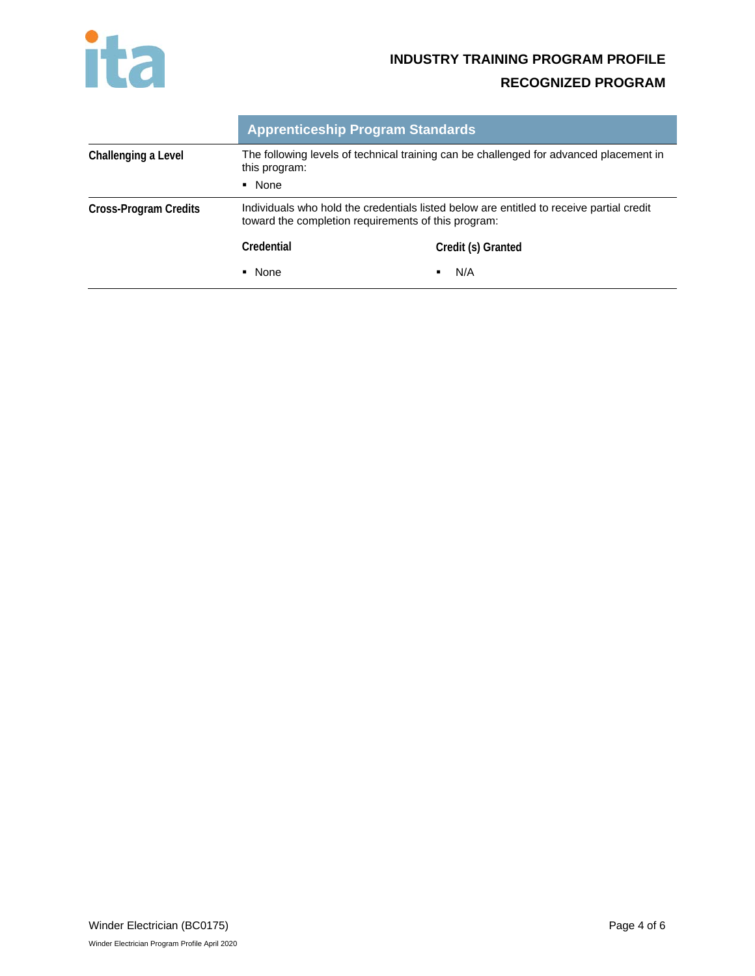

# **INDUSTRY TRAINING PROGRAM PROFILE**

# **RECOGNIZED PROGRAM**

|                       |                                                                                                         | <b>Apprenticeship Program Standards</b>                                                                                                         |  |
|-----------------------|---------------------------------------------------------------------------------------------------------|-------------------------------------------------------------------------------------------------------------------------------------------------|--|
| Challenging a Level   | The following levels of technical training can be challenged for advanced placement in<br>this program: |                                                                                                                                                 |  |
|                       | • None                                                                                                  |                                                                                                                                                 |  |
| Cross-Program Credits |                                                                                                         | Individuals who hold the credentials listed below are entitled to receive partial credit<br>toward the completion requirements of this program: |  |
|                       | Credential                                                                                              | Credit (s) Granted                                                                                                                              |  |
|                       | • None                                                                                                  | N/A                                                                                                                                             |  |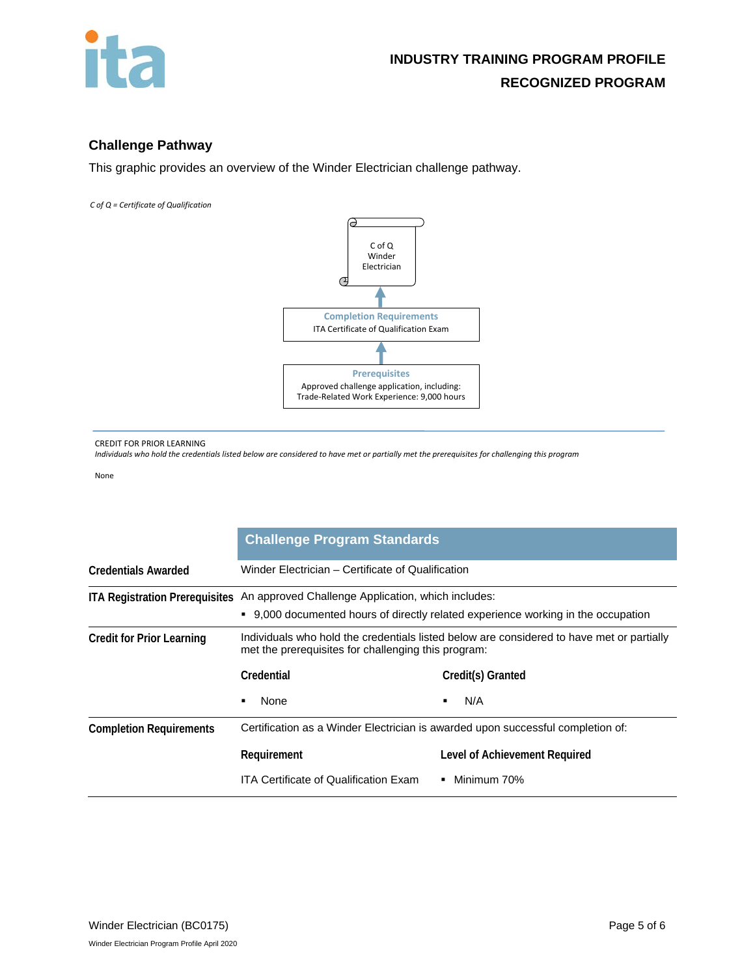

# **Challenge Pathway**

This graphic provides an overview of the Winder Electrician challenge pathway.

*C of Q = Certificate of Qualification* 



CREDIT FOR PRIOR LEARNING

*Individuals who hold the credentials listed below are considered to have met or partially met the prerequisites for challenging this program*

None

|                                  | <b>Challenge Program Standards</b>                                                                                                                                        |                               |  |
|----------------------------------|---------------------------------------------------------------------------------------------------------------------------------------------------------------------------|-------------------------------|--|
| <b>Credentials Awarded</b>       | Winder Electrician – Certificate of Qualification                                                                                                                         |                               |  |
|                                  | ITA Registration Prerequisites An approved Challenge Application, which includes:<br>9,000 documented hours of directly related experience working in the occupation<br>٠ |                               |  |
| <b>Credit for Prior Learning</b> | Individuals who hold the credentials listed below are considered to have met or partially<br>met the prerequisites for challenging this program:                          |                               |  |
|                                  | Credential                                                                                                                                                                | Credit(s) Granted             |  |
|                                  | None<br>$\blacksquare$                                                                                                                                                    | N/A                           |  |
| <b>Completion Requirements</b>   | Certification as a Winder Electrician is awarded upon successful completion of:                                                                                           |                               |  |
|                                  | Requirement                                                                                                                                                               | Level of Achievement Required |  |
|                                  | <b>ITA Certificate of Qualification Exam</b>                                                                                                                              | $\blacksquare$ Minimum 70%    |  |